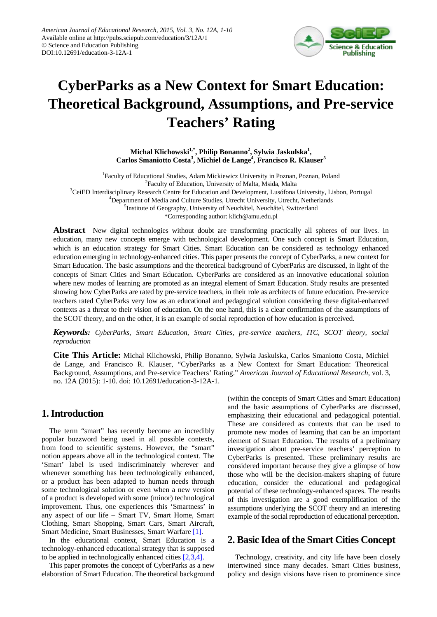

# **CyberParks as a New Context for Smart Education: Theoretical Background, Assumptions, and Pre-service Teachers' Rating**

**Michal Klichowski1,\*, Philip Bonanno<sup>2</sup> , Sylwia Jaskulska1 , Carlos Smaniotto Costa<sup>3</sup> , Michiel de Lange<sup>4</sup> , Francisco R. Klauser<sup>5</sup>**

<sup>1</sup>Faculty of Educational Studies, Adam Mickiewicz University in Poznan, Poznan, Poland <sup>2</sup>Faculty of Education, University of Malta, Msida, Malta <sup>3</sup>CeiED Interdisciplinary Research Centre for Education and Development, Lusófona University, Lisbon, Portugal <sup>4</sup>Department of Media and Culture Studies, Utrecht University, Utrecht, Netherlands <sup>5</sup>Institute of Geography, University of Neuchâtel, Neuchâtel, Switzerland \*Corresponding author: klich@amu.edu.pl

**Abstract** New digital technologies without doubt are transforming practically all spheres of our lives. In education, many new concepts emerge with technological development. One such concept is Smart Education, which is an education strategy for Smart Cities. Smart Education can be considered as technology enhanced education emerging in technology-enhanced cities. This paper presents the concept of CyberParks, a new context for Smart Education. The basic assumptions and the theoretical background of CyberParks are discussed, in light of the concepts of Smart Cities and Smart Education. CyberParks are considered as an innovative educational solution where new modes of learning are promoted as an integral element of Smart Education. Study results are presented showing how CyberParks are rated by pre-service teachers, in their role as architects of future education. Pre-service teachers rated CyberParks very low as an educational and pedagogical solution considering these digital-enhanced contexts as a threat to their vision of education. On the one hand, this is a clear confirmation of the assumptions of the SCOT theory, and on the other, it is an example of social reproduction of how education is perceived.

*Keywords: CyberParks, Smart Education, Smart Cities, pre-service teachers, ITC, SCOT theory, social reproduction*

**Cite This Article:** Michal Klichowski, Philip Bonanno, Sylwia Jaskulska, Carlos Smaniotto Costa, Michiel de Lange, and Francisco R. Klauser, "CyberParks as a New Context for Smart Education: Theoretical Background, Assumptions, and Pre-service Teachers' Rating." *American Journal of Educational Research*, vol. 3, no. 12A (2015): 1-10. doi: 10.12691/education-3-12A-1.

## **1. Introduction**

The term "smart" has recently become an incredibly popular buzzword being used in all possible contexts, from food to scientific systems. However, the "smart" notion appears above all in the technological context. The 'Smart' label is used indiscriminately wherever and whenever something has been technologically enhanced, or a product has been adapted to human needs through some technological solution or even when a new version of a product is developed with some (minor) technological improvement. Thus, one experiences this 'Smartness' in any aspect of our life – Smart TV, Smart Home, Smart Clothing, Smart Shopping, Smart Cars, Smart Aircraft, Smart Medicine, Smart Businesses, Smart Warfare [\[1\].](#page-7-0)

In the educational context, Smart Education is a technology-enhanced educational strategy that is supposed to be applied in technologically enhanced cities [\[2,3,4\].](#page-7-1)

This paper promotes the concept of CyberParks as a new elaboration of Smart Education. The theoretical background (within the concepts of Smart Cities and Smart Education) and the basic assumptions of CyberParks are discussed, emphasizing their educational and pedagogical potential. These are considered as contexts that can be used to promote new modes of learning that can be an important element of Smart Education. The results of a preliminary investigation about pre-service teachers' perception to CyberParks is presented. These preliminary results are considered important because they give a glimpse of how those who will be the decision-makers shaping of future education, consider the educational and pedagogical potential of these technology-enhanced spaces. The results of this investigation are a good exemplification of the assumptions underlying the SCOT theory and an interesting example of the social reproduction of educational perception.

## **2. Basic Idea of the Smart Cities Concept**

Technology, creativity, and city life have been closely intertwined since many decades. Smart Cities business, policy and design visions have risen to prominence since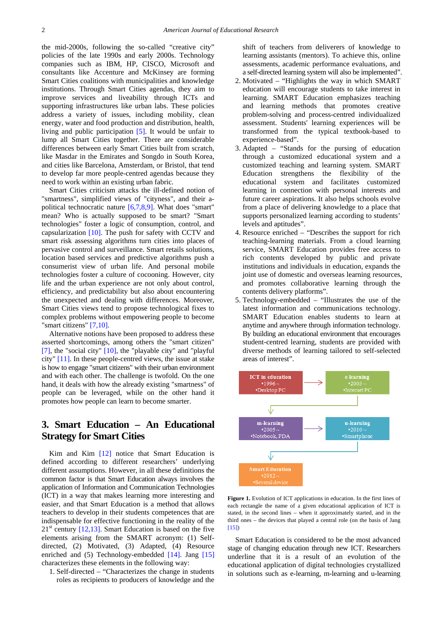the mid-2000s, following the so-called "creative city" policies of the late 1990s and early 2000s. Technology companies such as IBM, HP, CISCO, Microsoft and consultants like Accenture and McKinsey are forming Smart Cities coalitions with municipalities and knowledge institutions. Through Smart Cities agendas, they aim to improve services and liveability through ICTs and supporting infrastructures like urban labs. These policies address a variety of issues, including mobility, clean energy, water and food production and distribution, health, living and public participation [\[5\].](#page-7-2) It would be unfair to lump all Smart Cities together. There are considerable differences between early Smart Cities built from scratch, like Masdar in the Emirates and Songdo in South Korea, and cities like Barcelona, Amsterdam, or Bristol, that tend to develop far more people-centred agendas because they need to work within an existing urban fabric.

Smart Cities criticism attacks the ill-defined notion of "smartness", simplified views of "cityness", and their apolitical technocratic nature [\[6,7,8,9\].](#page-7-3) What does "smart" mean? Who is actually supposed to be smart? "Smart technologies" foster a logic of consumption, control, and capsularization [\[10\].](#page-7-4) The push for safety with CCTV and smart risk assessing algorithms turn cities into places of pervasive control and surveillance. Smart retails solutions, location based services and predictive algorithms push a consumerist view of urban life. And personal mobile technologies foster a culture of cocooning. However, city life and the urban experience are not only about control, efficiency, and predictability but also about encountering the unexpected and dealing with differences. Moreover, Smart Cities views tend to propose technological fixes to complex problems without empowering people to become "smart citizens[" \[7,10\].](#page-7-5)

Alternative notions have been proposed to address these asserted shortcomings, among others the "smart citizen" [\[7\],](#page-7-5) the "social city" [\[10\],](#page-7-4) the "playable city" and "playful city" [\[11\].](#page-7-6) In these people-centred views, the issue at stake is how to engage "smart citizens" with their urban environment and with each other. The challenge is twofold. On the one hand, it deals with how the already existing "smartness" of people can be leveraged, while on the other hand it promotes how people can learn to become smarter.

# **3. Smart Education – An Educational Strategy for Smart Cities**

Kim and Kim [\[12\]](#page-7-7) notice that Smart Education is defined according to different researchers' underlying different assumptions. However, in all these definitions the common factor is that Smart Education always involves the application of Information and Communication Technologies (ICT) in a way that makes learning more interesting and easier, and that Smart Education is a method that allows teachers to develop in their students competences that are indispensable for effective functioning in the reality of the  $21<sup>st</sup>$  century [\[12,13\].](#page-7-7) Smart Education is based on the five elements arising from the SMART acronym: (1) Selfdirected, (2) Motivated, (3) Adapted, (4) Resource enriched and (5) Technology-embedded [\[14\].](#page-7-8) Jang [\[15\]](#page-7-9) characterizes these elements in the following way:

1. Self-directed – "Characterizes the change in students roles as recipients to producers of knowledge and the

shift of teachers from deliverers of knowledge to learning assistants (mentors). To achieve this, online assessments, academic performance evaluations, and a self-directed learning system will also be implemented".

- 2. Motivated "Highlights the way in which SMART education will encourage students to take interest in learning. SMART Education emphasizes teaching and learning methods that promotes creative problem-solving and process-centred individualized assessment. Students' learning experiences will be transformed from the typical textbook-based to experience-based".
- 3. Adapted "Stands for the pursing of education through a customized educational system and a customized teaching and learning system. SMART Education strengthens the flexibility of the educational system and facilitates customized learning in connection with personal interests and future career aspirations. It also helps schools evolve from a place of delivering knowledge to a place that supports personalized learning according to students' levels and aptitudes".
- 4. Resource enriched "Describes the support for rich teaching-learning materials. From a cloud learning service, SMART Education provides free access to rich contents developed by public and private institutions and individuals in education, expands the joint use of domestic and overseas learning resources, and promotes collaborative learning through the contents delivery platforms".
- 5. Technology-embedded "Illustrates the use of the latest information and communications technology. SMART Education enables students to learn at anytime and anywhere through information technology. By building an educational environment that encourages student-centred learning, students are provided with diverse methods of learning tailored to self-selected areas of interest".

<span id="page-1-0"></span>

**Figure 1.** Evolution of ICT applications in education. In the first lines of each rectangle the name of a given educational application of ICT is stated, in the second lines – when it approximately started, and in the third ones – the devices that played a central role (on the basis of Jang [\[15\]\)](#page-7-9)

Smart Education is considered to be the most advanced stage of changing education through new ICT. Researchers underline that it is a result of an evolution of the educational application of digital technologies crystallized in solutions such as e-learning, m-learning and u-learning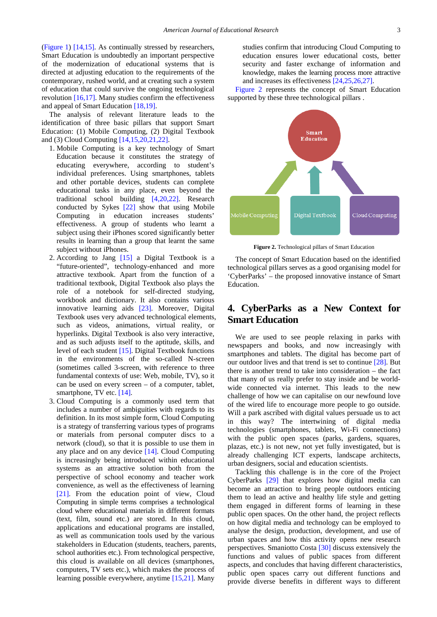[\(Figure 1\)](#page-1-0) [\[14,15\].](#page-7-8) As continually stressed by researchers, Smart Education is undoubtedly an important perspective of the modernization of educational systems that is directed at adjusting education to the requirements of the contemporary, rushed world, and at creating such a system of education that could survive the ongoing technological revolution  $[16,17]$ . Many studies confirm the effectiveness and appeal of Smart Education [\[18,19\].](#page-7-11)

The analysis of relevant literature leads to the identification of three basic pillars that support Smart Education: (1) Mobile Computing, (2) Digital Textbook and (3) Cloud Computing [\[14,15,20,21,22\].](#page-7-8)

- 1. Mobile Computing is a key technology of Smart Education because it constitutes the strategy of educating everywhere, according to student's individual preferences. Using smartphones, tablets and other portable devices, students can complete educational tasks in any place, even beyond the traditional school building [\[4,20,22\].](#page-7-12) Research conducted by Sykes [\[22\]](#page-7-13) show that using Mobile Computing in education increases students' effectiveness. A group of students who learnt a subject using their iPhones scored significantly better results in learning than a group that learnt the same subject without iPhones.
- 2. According to Jang [\[15\]](#page-7-9) a Digital Textbook is a "future-oriented", technology-enhanced and more attractive textbook. Apart from the function of a traditional textbook, Digital Textbook also plays the role of a notebook for self-directed studying, workbook and dictionary. It also contains various innovative learning aids [\[23\].](#page-8-0) Moreover, Digital Textbook uses very advanced technological elements, such as videos, animations, virtual reality, or hyperlinks. Digital Textbook is also very interactive, and as such adjusts itself to the aptitude, skills, and level of each student [\[15\].](#page-7-9) Digital Textbook functions in the environments of the so-called N-screen (sometimes called 3-screen, with reference to three fundamental contexts of use: Web, mobile, TV), so it can be used on every screen – of a computer, tablet, smartphone, TV etc. [\[14\].](#page-7-8)
- 3. Cloud Computing is a commonly used term that includes a number of ambiguities with regards to its definition. In its most simple form, Cloud Computing is a strategy of transferring various types of programs or materials from personal computer discs to a network (cloud), so that it is possible to use them in any place and on any device [\[14\].](#page-7-8) Cloud Computing is increasingly being introduced within educational systems as an attractive solution both from the perspective of school economy and teacher work convenience, as well as the effectiveness of learning [\[21\].](#page-7-14) From the education point of view, Cloud Computing in simple terms comprises a technological cloud where educational materials in different formats (text, film, sound etc.) are stored. In this cloud, applications and educational programs are installed, as well as communication tools used by the various stakeholders in Education (students, teachers, parents, school authorities etc.). From technological perspective, this cloud is available on all devices (smartphones, computers, TV sets etc.), which makes the process of learning possible everywhere, anytime [\[15,21\].](#page-7-9) Many

studies confirm that introducing Cloud Computing to education ensures lower educational costs, better security and faster exchange of information and knowledge, makes the learning process more attractive and increases its effectiveness [\[24,25,26,27\].](#page-8-1)

[Figure 2](#page-2-0) represents the concept of Smart Education supported by these three technological pillars .

<span id="page-2-0"></span>

**Figure 2.** Technological pillars of Smart Education

The concept of Smart Education based on the identified technological pillars serves as a good organising model for 'CyberParks' – the proposed innovative instance of Smart Education.

# **4. CyberParks as a New Context for Smart Education**

We are used to see people relaxing in parks with newspapers and books, and now increasingly with smartphones and tablets. The digital has become part of our outdoor lives and that trend is set to continue [\[28\].](#page-8-2) But there is another trend to take into consideration – the fact that many of us really prefer to stay inside and be worldwide connected via internet. This leads to the new challenge of how we can capitalise on our newfound love of the wired life to encourage more people to go outside. Will a park ascribed with digital values persuade us to act in this way? The intertwining of digital media technologies (smartphones, tablets, Wi-Fi connections) with the public open spaces (parks, gardens, squares, plazas, etc.) is not new, not yet fully investigated, but is already challenging ICT experts, landscape architects, urban designers, social and education scientists.

Tackling this challenge is in the core of the Project CyberParks [\[29\]](#page-8-3) that explores how digital media can become an attraction to bring people outdoors enticing them to lead an active and healthy life style and getting them engaged in different forms of learning in these public open spaces. On the other hand, the project reflects on how digital media and technology can be employed to analyse the design, production, development, and use of urban spaces and how this activity opens new research perspectives. Smaniotto Costa [\[30\]](#page-8-4) discuss extensively the functions and values of public spaces from different aspects, and concludes that having different characteristics, public open spaces carry out different functions and provide diverse benefits in different ways to different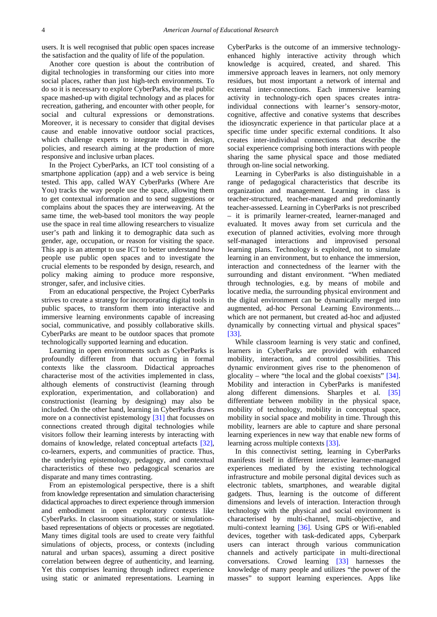users. It is well recognised that public open spaces increase the satisfaction and the quality of life of the population.

Another core question is about the contribution of digital technologies in transforming our cities into more social places, rather than just high-tech environments. To do so it is necessary to explore CyberParks, the real public space mashed-up with digital technology and as places for recreation, gathering, and encounter with other people, for social and cultural expressions or demonstrations. Moreover, it is necessary to consider that digital devises cause and enable innovative outdoor social practices, which challenge experts to integrate them in design, policies, and research aiming at the production of more responsive and inclusive urban places.

In the Project CyberParks, an ICT tool consisting of a smartphone application (app) and a web service is being tested. This app, called WAY CyberParks (Where Are You) tracks the way people use the space, allowing them to get contextual information and to send suggestions or complains about the spaces they are interweaving. At the same time, the web-based tool monitors the way people use the space in real time allowing researchers to visualize user's path and linking it to demographic data such as gender, age, occupation, or reason for visiting the space. This app is an attempt to use ICT to better understand how people use public open spaces and to investigate the crucial elements to be responded by design, research, and policy making aiming to produce more responsive, stronger, safer, and inclusive cities.

From an educational perspective, the Project CyberParks strives to create a strategy for incorporating digital tools in public spaces, to transform them into interactive and immersive learning environments capable of increasing social, communicative, and possibly collaborative skills. CyberParks are meant to be outdoor spaces that promote technologically supported learning and education.

Learning in open environments such as CyberParks is profoundly different from that occurring in formal contexts like the classroom. Didactical approaches characterise most of the activities implemented in class, although elements of constructivist (learning through exploration, experimentation, and collaboration) and constructionist (learning by designing) may also be included. On the other hand, learning in CyberParks draws more on a connectivist epistemology [\[31\]](#page-8-5) that focusses on connections created through digital technologies while visitors follow their learning interests by interacting with domains of knowledge, related conceptual artefacts [\[32\],](#page-8-6) co-learners, experts, and communities of practice. Thus, the underlying epistemology, pedagogy, and contextual characteristics of these two pedagogical scenarios are disparate and many times contrasting.

From an epistemological perspective, there is a shift from knowledge representation and simulation characterising didactical approaches to direct experience through immersion and embodiment in open exploratory contexts like CyberParks. In classroom situations, static or simulationbased representations of objects or processes are negotiated. Many times digital tools are used to create very faithful simulations of objects, process, or contexts (including natural and urban spaces), assuming a direct positive correlation between degree of authenticity, and learning. Yet this comprises learning through indirect experience using static or animated representations. Learning in CyberParks is the outcome of an immersive technologyenhanced highly interactive activity through which knowledge is acquired, created, and shared. This immersive approach leaves in learners, not only memory residues, but most important a network of internal and external inter-connections. Each immersive learning activity in technology-rich open spaces creates intraindividual connections with learner's sensory-motor, cognitive, affective and conative systems that describes the idiosyncratic experience in that particular place at a specific time under specific external conditions. It also creates inter-individual connections that describe the social experience comprising both interactions with people sharing the same physical space and those mediated through on-line social networking.

Learning in CyberParks is also distinguishable in a range of pedagogical characteristics that describe its organization and management. Learning in class is teacher-structured, teacher-managed and predominantly teacher-assessed. Learning in CyberParks is not prescribed – it is primarily learner-created, learner-managed and evaluated. It moves away from set curricula and the execution of planned activities, evolving more through self-managed interactions and improvised personal learning plans. Technology is exploited, not to simulate learning in an environment, but to enhance the immersion, interaction and connectedness of the learner with the surrounding and distant environment. "When mediated through technologies, e.g. by means of mobile and locative media, the surrounding physical environment and the digital environment can be dynamically merged into augmented, ad-hoc Personal Learning Environments.... which are not permanent, but created ad-hoc and adjusted dynamically by connecting virtual and physical spaces" [\[33\].](#page-8-7)

While classroom learning is very static and confined, learners in CyberParks are provided with enhanced mobility, interaction, and control possibilities. This dynamic environment gives rise to the phenomenon of glocality – where "the local and the global coexists" [\[34\].](#page-8-8) Mobility and interaction in CyberParks is manifested along different dimensions. Sharples et al. [\[35\]](#page-8-9) differentiate between mobility in the physical space, mobility of technology, mobility in conceptual space, mobility in social space and mobility in time. Through this mobility, learners are able to capture and share personal learning experiences in new way that enable new forms of learning across multiple context[s \[33\].](#page-8-7)

In this connectivist setting, learning in CyberParks manifests itself in different interactive learner-managed experiences mediated by the existing technological infrastructure and mobile personal digital devices such as electronic tablets, smartphones, and wearable digital gadgets. Thus, learning is the outcome of different dimensions and levels of interaction. Interaction through technology with the physical and social environment is characterised by multi-channel, multi-objective, and multi-context learning [\[36\].](#page-8-10) Using GPS or Wifi-enabled devices, together with task-dedicated apps, Cyberpark users can interact through various communication channels and actively participate in multi-directional conversations. Crowd learning [\[33\]](#page-8-7) harnesses the knowledge of many people and utilizes "the power of the masses" to support learning experiences. Apps like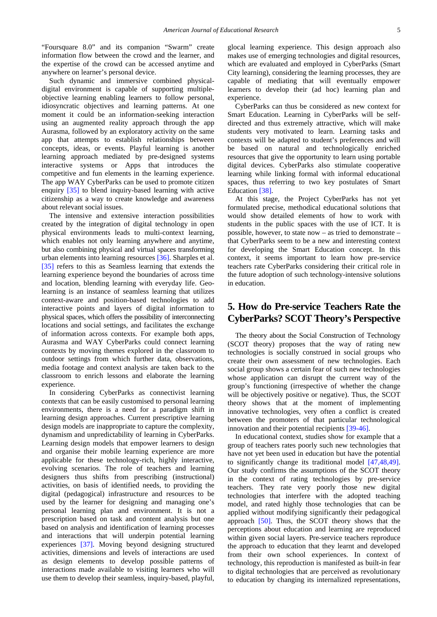"Foursquare 8.0" and its companion "Swarm" create information flow between the crowd and the learner, and the expertise of the crowd can be accessed anytime and anywhere on learner's personal device.

Such dynamic and immersive combined physicaldigital environment is capable of supporting multipleobjective learning enabling learners to follow personal, idiosyncratic objectives and learning patterns. At one moment it could be an information-seeking interaction using an augmented reality approach through the app Aurasma, followed by an exploratory activity on the same app that attempts to establish relationships between concepts, ideas, or events. Playful learning is another learning approach mediated by pre-designed systems interactive systems or Apps that introduces the competitive and fun elements in the learning experience. The app WAY CyberParks can be used to promote citizen enquiry [\[35\]](#page-8-9) to blend inquiry-based learning with active citizenship as a way to create knowledge and awareness about relevant social issues.

The intensive and extensive interaction possibilities created by the integration of digital technology in open physical environments leads to multi-context learning, which enables not only learning anywhere and anytime, but also combining physical and virtual spaces transforming urban elements into learning resources [\[36\].](#page-8-10) Sharples et al. [\[35\]](#page-8-9) refers to this as Seamless learning that extends the learning experience beyond the boundaries of across time and location, blending learning with everyday life. Geolearning is an instance of seamless learning that utilizes context-aware and position-based technologies to add interactive points and layers of digital information to physical spaces, which offers the possibility of interconnecting locations and social settings, and facilitates the exchange of information across contexts. For example both apps, Aurasma and WAY CyberParks could connect learning contexts by moving themes explored in the classroom to outdoor settings from which further data, observations, media footage and context analysis are taken back to the classroom to enrich lessons and elaborate the learning experience.

In considering CyberParks as connectivist learning contexts that can be easily customised to personal learning environments, there is a need for a paradigm shift in learning design approaches. Current prescriptive learning design models are inappropriate to capture the complexity, dynamism and unpredictability of learning in CyberParks. Learning design models that empower learners to design and organise their mobile learning experience are more applicable for these technology-rich, highly interactive, evolving scenarios. The role of teachers and learning designers thus shifts from prescribing (instructional) activities, on basis of identified needs, to providing the digital (pedagogical) infrastructure and resources to be used by the learner for designing and managing one's personal learning plan and environment. It is not a prescription based on task and content analysis but one based on analysis and identification of learning processes and interactions that will underpin potential learning experiences [\[37\].](#page-8-11) Moving beyond designing structured activities, dimensions and levels of interactions are used as design elements to develop possible patterns of interactions made available to visiting learners who will use them to develop their seamless, inquiry-based, playful, glocal learning experience. This design approach also makes use of emerging technologies and digital resources, which are evaluated and employed in CyberParks (Smart City learning), considering the learning processes, they are capable of mediating that will eventually empower learners to develop their (ad hoc) learning plan and experience.

CyberParks can thus be considered as new context for Smart Education. Learning in CyberParks will be selfdirected and thus extremely attractive, which will make students very motivated to learn. Learning tasks and contexts will be adapted to student's preferences and will be based on natural and technologically enriched resources that give the opportunity to learn using portable digital devices. CyberParks also stimulate cooperative learning while linking formal with informal educational spaces, thus referring to two key postulates of Smart Education [\[38\].](#page-8-12)

At this stage, the Project CyberParks has not yet formulated precise, methodical educational solutions that would show detailed elements of how to work with students in the public spaces with the use of ICT. It is possible, however, to state now – as tried to demonstrate – that CyberParks seem to be a new and interesting context for developing the Smart Education concept. In this context, it seems important to learn how pre-service teachers rate CyberParks considering their critical role in the future adoption of such technology-intensive solutions in education.

# **5. How do Pre-service Teachers Rate the CyberParks? SCOT Theory's Perspective**

The theory about the Social Construction of Technology (SCOT theory) proposes that the way of rating new technologies is socially construed in social groups who create their own assessment of new technologies. Each social group shows a certain fear of such new technologies whose application can disrupt the current way of the group's functioning (irrespective of whether the change will be objectively positive or negative). Thus, the SCOT theory shows that at the moment of implementing innovative technologies, very often a conflict is created between the promoters of that particular technological innovation and their potential recipients [\[39-46\].](#page-8-13)

In educational context, studies show for example that a group of teachers rates poorly such new technologies that have not yet been used in education but have the potential to significantly change its traditional model [\[47,48,49\].](#page-8-14) Our study confirms the assumptions of the SCOT theory in the context of rating technologies by pre-service teachers. They rate very poorly those new digital technologies that interfere with the adopted teaching model, and rated highly those technologies that can be applied without modifying significantly their pedagogical approach [\[50\].](#page-8-15) Thus, the SCOT theory shows that the perceptions about education and learning are reproduced within given social layers. Pre-service teachers reproduce the approach to education that they learnt and developed from their own school experiences. In context of technology, this reproduction is manifested as built-in fear to digital technologies that are perceived as revolutionary to education by changing its internalized representations,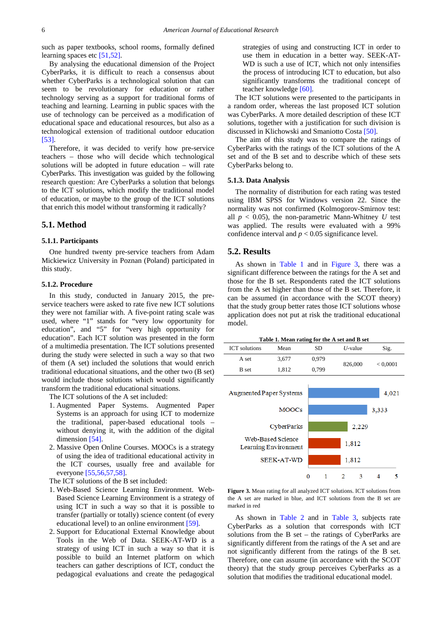such as paper textbooks, school rooms, formally defined learning spaces etc [\[51,52\].](#page-8-16)

By analysing the educational dimension of the Project CyberParks, it is difficult to reach a consensus about whether CyberParks is a technological solution that can seem to be revolutionary for education or rather technology serving as a support for traditional forms of teaching and learning. Learning in public spaces with the use of technology can be perceived as a modification of educational space and educational resources, but also as a technological extension of traditional outdoor education [\[53\].](#page-8-17)

Therefore, it was decided to verify how pre-service teachers – those who will decide which technological solutions will be adopted in future education – will rate CyberParks. This investigation was guided by the following research question: Are CyberParks a solution that belongs to the ICT solutions, which modify the traditional model of education, or maybe to the group of the ICT solutions that enrich this model without transforming it radically?

#### **5.1. Method**

#### **5.1.1. Participants**

One hundred twenty pre-service teachers from Adam Mickiewicz University in Poznan (Poland) participated in this study.

#### **5.1.2. Procedure**

In this study, conducted in January 2015, the preservice teachers were asked to rate five new ICT solutions they were not familiar with. A five-point rating scale was used, where "1" stands for "very low opportunity for education", and "5" for "very high opportunity for education". Each ICT solution was presented in the form of a multimedia presentation. The ICT solutions presented during the study were selected in such a way so that two of them (A set) included the solutions that would enrich traditional educational situations, and the other two (B set) would include those solutions which would significantly transform the traditional educational situations.

The ICT solutions of the A set included:

- 1. Augmented Paper Systems. Augmented Paper Systems is an approach for using ICT to modernize the traditional, paper-based educational tools – without denying it, with the addition of the digital dimension [\[54\].](#page-8-18)
- 2. Massive Open Online Courses. MOOCs is a strategy of using the idea of traditional educational activity in the ICT courses, usually free and available for everyone [\[55,56,57,58\].](#page-8-19)

The ICT solutions of the B set included:

- 1. Web-Based Science Learning Environment. Web-Based Science Learning Environment is a strategy of using ICT in such a way so that it is possible to transfer (partially or totally) science content (of every educational level) to an online environment [\[59\].](#page-8-20)
- 2. Support for Educational External Knowledge about Tools in the Web of Data. SEEK-AT-WD is a strategy of using ICT in such a way so that it is possible to build an Internet platform on which teachers can gather descriptions of ICT, conduct the pedagogical evaluations and create the pedagogical

strategies of using and constructing ICT in order to use them in education in a better way. SEEK-AT-WD is such a use of ICT, which not only intensifies the process of introducing ICT to education, but also significantly transforms the traditional concept of teacher knowledge [\[60\].](#page-8-21)

The ICT solutions were presented to the participants in a random order, whereas the last proposed ICT solution was CyberParks. A more detailed description of these ICT solutions, together with a justification for such division is discussed in Klichowski and Smaniotto Costa [\[50\].](#page-8-15)

The aim of this study was to compare the ratings of CyberParks with the ratings of the ICT solutions of the A set and of the B set and to describe which of these sets CyberParks belong to.

#### **5.1.3. Data Analysis**

The normality of distribution for each rating was tested using IBM SPSS for Windows version 22. Since the normality was not confirmed (Kolmogorov-Smirnov test: all  $p < 0.05$ ), the non-parametric Mann-Whitney *U* test was applied. The results were evaluated with a 99% confidence interval and  $p < 0.05$  significance level.

#### **5.2. Results**

As shown in [Table 1](#page-5-0) and in [Figure 3,](#page-5-1) there was a significant difference between the ratings for the A set and those for the B set. Respondents rated the ICT solutions from the A set higher than those of the B set. Therefore, it can be assumed (in accordance with the SCOT theory) that the study group better rates those ICT solutions whose application does not put at risk the traditional educational model.

| Table 1. Mean rating for the A set and B set |  |
|----------------------------------------------|--|
|----------------------------------------------|--|

<span id="page-5-1"></span><span id="page-5-0"></span>

**Figure 3.** Mean rating for all analyzed ICT solutions. ICT solutions from the A set are marked in blue, and ICT solutions from the B set are marked in red

As shown in [Table 2](#page-6-0) and in [Table 3,](#page-6-1) subjects rate CyberParks as a solution that corresponds with ICT solutions from the B set – the ratings of CyberParks are significantly different from the ratings of the A set and are not significantly different from the ratings of the B set. Therefore, one can assume (in accordance with the SCOT theory) that the study group perceives CyberParks as a solution that modifies the traditional educational model.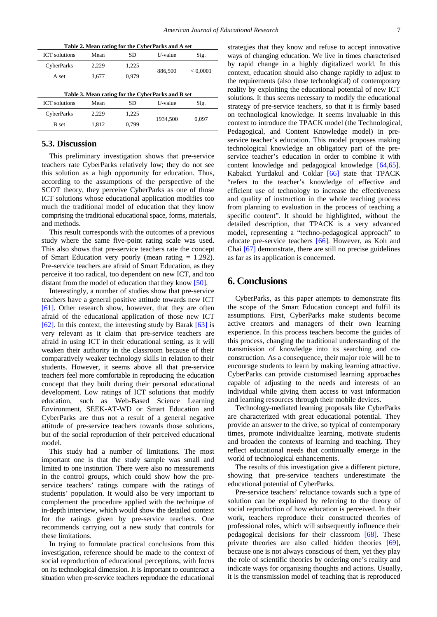<span id="page-6-0"></span>

| Table 2. Mean rating for the CyberParks and A set |       |       |            |          |  |  |
|---------------------------------------------------|-------|-------|------------|----------|--|--|
| <b>ICT</b> solutions                              | Mean  | SD    | $U$ -value | Sig.     |  |  |
| CyberParks                                        | 2.229 | 1,225 | 886,500    | < 0,0001 |  |  |
| A set                                             | 3,677 | 0.979 |            |          |  |  |
|                                                   |       |       |            |          |  |  |
| Table 3. Mean rating for the CyberParks and B set |       |       |            |          |  |  |
| <b>ICT</b> solutions                              | Mean  | SD    | $U$ -value | Sig.     |  |  |
| CyberParks                                        | 2.229 | 1,225 | 1934.500   | 0,097    |  |  |
| <b>B</b> set                                      | 1,812 | 0,799 |            |          |  |  |

#### <span id="page-6-1"></span>**5.3. Discussion**

This preliminary investigation shows that pre-service teachers rate CyberParks relatively low; they do not see this solution as a high opportunity for education. Thus, according to the assumptions of the perspective of the SCOT theory, they perceive CyberParks as one of those ICT solutions whose educational application modifies too much the traditional model of education that they know comprising the traditional educational space, forms, materials, and methods.

This result corresponds with the outcomes of a previous study where the same five-point rating scale was used. This also shows that pre-service teachers rate the concept of Smart Education very poorly (mean rating = 1.292). Pre-service teachers are afraid of Smart Education, as they perceive it too radical, too dependent on new ICT, and too distant from the model of education that they know [\[50\].](#page-8-15)

Interestingly, a number of studies show that pre-service teachers have a general positive attitude towards new ICT [\[61\].](#page-8-22) Other research show, however, that they are often afraid of the educational application of those new ICT [\[62\].](#page-8-23) In this context, the interesting study by Barak  $[63]$  is very relevant as it claim that pre-service teachers are afraid in using ICT in their educational setting, as it will weaken their authority in the classroom because of their comparatively weaker technology skills in relation to their students. However, it seems above all that pre-service teachers feel more comfortable in reproducing the education concept that they built during their personal educational development. Low ratings of ICT solutions that modify education, such as Web-Based Science Learning Environment, SEEK-AT-WD or Smart Education and CyberParks are thus not a result of a general negative attitude of pre-service teachers towards those solutions, but of the social reproduction of their perceived educational model.

This study had a number of limitations. The most important one is that the study sample was small and limited to one institution. There were also no measurements in the control groups, which could show how the preservice teachers' ratings compare with the ratings of students' population. It would also be very important to complement the procedure applied with the technique of in-depth interview, which would show the detailed context for the ratings given by pre-service teachers. One recommends carrying out a new study that controls for these limitations.

In trying to formulate practical conclusions from this investigation, reference should be made to the context of social reproduction of educational perceptions, with focus on its technological dimension. It is important to counteract a situation when pre-service teachers reproduce the educational

strategies that they know and refuse to accept innovative ways of changing education. We live in times characterised by rapid change in a highly digitalized world. In this context, education should also change rapidly to adjust to the requirements (also those technological) of contemporary reality by exploiting the educational potential of new ICT solutions. It thus seems necessary to modify the educational strategy of pre-service teachers, so that it is firmly based on technological knowledge. It seems invaluable in this context to introduce the TPACK model (the Technological, Pedagogical, and Content Knowledge model) in preservice teacher's education. This model proposes making technological knowledge an obligatory part of the preservice teacher's education in order to combine it with content knowledge and pedagogical knowledge [\[64,65\].](#page-8-25) Kabakci Yurdakul and Coklar [\[66\]](#page-8-26) state that TPACK "refers to the teacher's knowledge of effective and efficient use of technology to increase the effectiveness and quality of instruction in the whole teaching process from planning to evaluation in the process of teaching a specific content". It should be highlighted, without the detailed description, that TPACK is a very advanced model, representing a "techno-pedagogical approach" to educate pre-service teachers [\[66\].](#page-8-26) However, as Koh and Chai [\[67\]](#page-8-27) demonstrate, there are still no precise guidelines as far as its application is concerned.

## **6. Conclusions**

CyberParks, as this paper attempts to demonstrate fits the scope of the Smart Education concept and fulfil its assumptions. First, CyberParks make students become active creators and managers of their own learning experience. In this process teachers become the guides of this process, changing the traditional understanding of the transmission of knowledge into its searching and coconstruction. As a consequence, their major role will be to encourage students to learn by making learning attractive. CyberParks can provide customised learning approaches capable of adjusting to the needs and interests of an individual while giving them access to vast information and learning resources through their mobile devices.

Technology-mediated learning proposals like CyberParks are characterized with great educational potential. They provide an answer to the drive, so typical of contemporary times, promote individualize learning, motivate students and broaden the contexts of learning and teaching. They reflect educational needs that continually emerge in the world of technological enhancements.

The results of this investigation give a different picture, showing that pre-service teachers underestimate the educational potential of CyberParks.

Pre-service teachers' reluctance towards such a type of solution can be explained by referring to the theory of social reproduction of how education is perceived. In their work, teachers reproduce their constructed theories of professional roles, which will subsequently influence their pedagogical decisions for their classroom [\[68\].](#page-8-28) These private theories are also called hidden theories [\[69\],](#page-9-0) because one is not always conscious of them, yet they play the role of scientific theories by ordering one's reality and indicate ways for organising thoughts and actions. Usually, it is the transmission model of teaching that is reproduced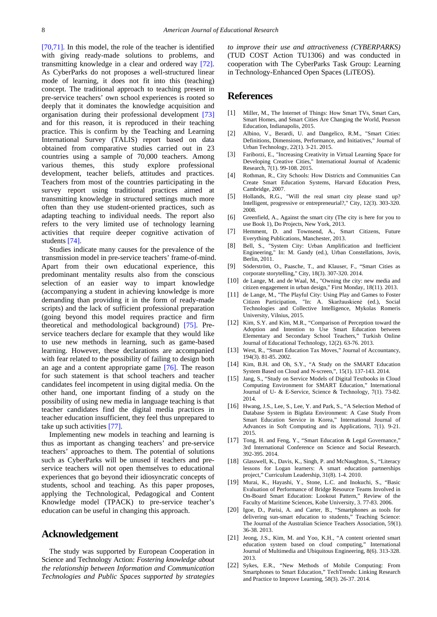[\[70,71\].](#page-9-1) In this model, the role of the teacher is identified with giving ready-made solutions to problems, and transmitting knowledge in a clear and ordered way [\[72\].](#page-9-2) As CyberParks do not proposes a well-structured linear mode of learning, it does not fit into this (teaching) concept. The traditional approach to teaching present in pre-service teachers' own school experiences is rooted so deeply that it dominates the knowledge acquisition and organisation during their professional development [\[73\]](#page-9-3) and for this reason, it is reproduced in their teaching practice. This is confirm by the Teaching and Learning International Survey (TALIS) report based on data obtained from comparative studies carried out in 23 countries using a sample of 70,000 teachers. Among various themes, this study explore professional development, teacher beliefs, attitudes and practices. Teachers from most of the countries participating in the survey report using traditional practices aimed at transmitting knowledge in structured settings much more often than they use student-oriented practices, such as adapting teaching to individual needs. The report also refers to the very limited use of technology learning activities that require deeper cognitive activation of students [\[74\].](#page-9-4)

Studies indicate many causes for the prevalence of the transmission model in pre-service teachers' frame-of-mind. Apart from their own educational experience, this predominant mentality results also from the conscious selection of an easier way to impart knowledge (accompanying a student in achieving knowledge is more demanding than providing it in the form of ready-made scripts) and the lack of sufficient professional preparation (going beyond this model requires practice and firm theoretical and methodological background) [\[75\].](#page-9-5) Preservice teachers declare for example that they would like to use new methods in learning, such as game-based learning. However, these declarations are accompanied with fear related to the possibility of failing to design both an age and a content appropriate game [\[76\].](#page-9-6) The reason for such statement is that school teachers and teacher candidates feel incompetent in using digital media. On the other hand, one important finding of a study on the possibility of using new media in language teaching is that teacher candidates find the digital media practices in teacher education insufficient, they feel thus unprepared to take up such activities [\[77\].](#page-9-7)

Implementing new models in teaching and learning is thus as important as changing teachers' and pre-service teachers' approaches to them. The potential of solutions such as CyberParks will be unused if teachers and preservice teachers will not open themselves to educational experiences that go beyond their idiosyncratic concepts of students, school and teaching. As this paper proposes, applying the Technological, Pedagogical and Content Knowledge model (TPACK) to pre-service teacher's education can be useful in changing this approach.

### **Acknowledgement**

The study was supported by European Cooperation in Science and Technology Action: *Fostering knowledge about the relationship between Information and Communication Technologies and Public Spaces supported by strategies*  *to improve their use and attractiveness (CYBERPARKS)* (TUD COST Action TU1306) and was conducted in cooperation with The CyberParks Task Group: Learning in Technology-Enhanced Open Spaces (LiTEOS).

## **References**

- <span id="page-7-0"></span>[1] Miller, M., The Internet of Things: How Smart TVs, Smart Cars, Smart Homes, and Smart Cities Are Changing the World, Pearson Education, Indianapolis, 2015.
- <span id="page-7-1"></span>[2] Albino, V., Berardi, U. and Dangelico, R.M., "Smart Cities: Definitions, Dimensions, Performance, and Initiatives," Journal of Urban Technology, 22(1). 3-21. 2015.
- [3] Fariborzi, E., "Increasing Creativity in Virtual Learning Space for Developing Creative Cities," International Journal of Academic Research, 7(1). 99-108. 2015.
- <span id="page-7-12"></span>[4] Rothman, R., City Schools: How Districts and Communities Can Create Smart Education Systems, Harvard Education Press, Cambridge, 2007.
- <span id="page-7-2"></span>[5] Hollands, R.G., "Will the real smart city please stand up? Intelligent, progressive or entrepreneurial?," City, 12(3). 303-320. 2008.
- <span id="page-7-3"></span>[6] Greenfield, A., Against the smart city (The city is here for you to use Book 1), Do Projects, New York, 2013.
- <span id="page-7-5"></span>[7] Hemment, D. and Townsend, A., Smart Citizens, Future Everything Publications, Manchester, 2013.
- [8] Bell, S., "System City: Urban Amplification and Inefficient Engineering," In: M. Gandy (ed.), Urban Constellations, Jovis, Berlin, 2011.
- [9] Söderström, O., Paasche, T., and Klauser, F., "Smart Cities as corporate storytelling," City, 18(3). 307-320. 2014.
- <span id="page-7-4"></span>[10] de Lange, M. and de Waal, M., "Owning the city: new media and citizen engagement in urban design," First Monday, 18(11). 2013.
- <span id="page-7-6"></span>[11] de Lange, M., "The Playful City: Using Play and Games to Foster Citizen Participation, "In: A. Skaržauskienė (ed.), Social Technologies and Collective Intelligence, Mykolas Romeris University, Vilnius, 2015.
- <span id="page-7-7"></span>[12] Kim, S.Y. and Kim, M.R., "Comparison of Perception toward the Adoption and Intention to Use Smart Education between Elementary and Secondary School Teachers," Turkish Online Journal of Educational Technology, 12(2). 63-76. 2013.
- [13] West, R., "Smart Education Tax Moves," Journal of Accountancy, 194(3). 81-85. 2002.
- <span id="page-7-8"></span>[14] Kim, B.H. and Oh, S.Y., "A Study on the SMART Education System Based on Cloud and N-screen,", 15(1). 137-143. 2014.
- <span id="page-7-9"></span>[15] Jang, S., "Study on Service Models of Digital Textbooks in Cloud Computing Environment for SMART Education," International Journal of U- & E-Service, Science & Technology, 7(1). 73-82. 2014.
- <span id="page-7-10"></span>[16] Hwang, J.S., Lee, S., Lee, Y. and Park, S., "A Selection Method of Database System in Bigdata Environment: A Case Study From Smart Education Service in Korea," International Journal of Advances in Soft Computing and its Applications, 7(1). 9-21. 2015.
- [17] Tong, H. and Feng, Y., "Smart Education & Legal Governance," 3rd International Conference on Science and Social Research. 392-395. 2014.
- <span id="page-7-11"></span>[18] Glasswell, K., Davis, K., Singh, P. and McNaughton, S., "Literacy lessons for Logan learners: A smart education partnerships project," Curriculum Leadership, 31(8). 1-4. 2010.
- [19] Murai, K., Hayashi, Y., Stone, L.C. and Inokuchi, S., "Basic Evaluation of Performance of Bridge Resource Teams Involved in On-Board Smart Education: Lookout Pattern," Review of the Faculty of Maritime Sciences, Kobe University, 3. 77-83. 2006.
- [20] Igoe, D., Parisi, A. and Carter, B., "Smartphones as tools for delivering sun-smart education to students," Teaching Science: The Journal of the Australian Science Teachers Association, 59(1). 36-38. 2013.
- <span id="page-7-14"></span>[21] Jeong, J.S., Kim, M. and Yoo, K.H., "A content oriented smart education system based on cloud computing," International Journal of Multimedia and Ubiquitous Engineering, 8(6). 313-328. 2013.
- <span id="page-7-13"></span>[22] Sykes, E.R., "New Methods of Mobile Computing: From Smartphones to Smart Education," TechTrends: Linking Research and Practice to Improve Learning, 58(3). 26-37. 2014.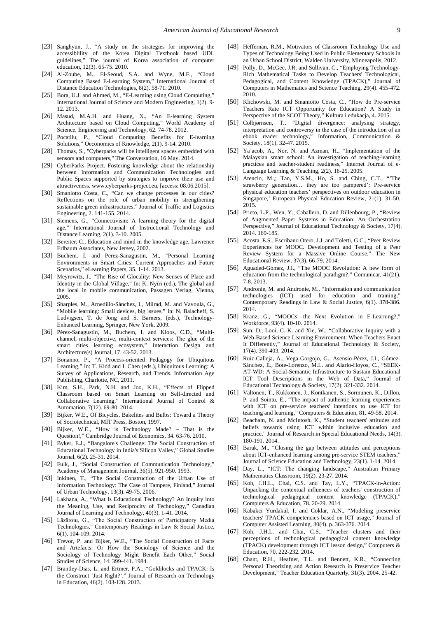- <span id="page-8-0"></span>[23] Sanghyun, J., "A study on the strategies for improving the accessiblility of the Korea Digital Textbook based UDL guidelines," The journal of Korea association of computer education, 12(3). 65-75. 2010.
- <span id="page-8-1"></span>[24] Al-Zoube, M., El-Seoud, S.A. and Wyne, M.F., "Cloud Computing Based E-Learning System," International Journal of Distance Education Technologies, 8(2). 58-71. 2010.
- [25] Bora, U.J. and Ahmed, M., "E-Learning using Cloud Computing," International Journal of Science and Modern Engineering, 1(2). 9- 12. 2013.
- [26] Masud, M.A.H. and Huang, X., "An E-learning System Architecture based on Cloud Computing," World Academy of Science, Engineering and Technology, 62. 74-78. 2012.
- [27] Pocatilu, P., "Cloud Computing Benefits for E-learning Solutions," Oeconomics of Knowledge, 2(1). 9-14. 2010.
- <span id="page-8-2"></span>[28] Thomas, S., "Cyberparks will be intelligent spaces embedded with sensors and computers," The Conversation, 16 May. 2014.
- <span id="page-8-3"></span>[29] CyberParks Project. Fostering knowledge about the relationship between Information and Communication Technologies and Public Spaces supported by strategies to improve their use and attractiveness. www.cyberparks-project.eu, [access: 08.06.2015].
- <span id="page-8-4"></span>[30] Smaniotto Costa, C., "Can we change processes in our cities? Reflections on the role of urban mobility in strengthening sustainable green infrastructures," Journal of Traffic and Logistics Engineering, 2. 141-155. 2014.
- <span id="page-8-5"></span>[31] Siemens, G., "Connectivism: A learning theory for the digital age," International Journal of Instructional Technology and Distance Learning, 2(1). 3-10. 2005.
- <span id="page-8-6"></span>[32] Bereiter, C., Education and mind in the knowledge age, Lawrence Erlbaum Associates, New Jersey, 2002.
- <span id="page-8-7"></span>[33] Buchem, I. and Perez-Sanagustin, M., "Personal Learning Environments in Smart Cities: Current Approaches and Future Scenarios," eLearning Papers, 35. 1-14. 2013.
- <span id="page-8-8"></span>[34] Meyrowitz, J., "The Rise of Glocality: New Senses of Place and Identity in the Global Village," In: K. Nyíri (ed.), The global and the local in mobile communication, Passagen Verlag, Vienna, 2005.
- <span id="page-8-9"></span>[35] Sharples, M., Arnedillo-Sánchez, I., Milrad, M. and Vavoula, G., "Mobile learning: Small devices, big issues," In: N. Balacheff, S. Ludvigsen, T. de Jong and S. Barners, (eds.), Technology-Enhanced Learning, Springer, New York, 2009.
- <span id="page-8-10"></span>[36] Pérez-Sanagustín, M., Buchem, I. and Kloos, C.D., "Multichannel, multi-objective, multi-context services: The glue of the smart cities learning ecosystem," Interaction Design and Architecture(s) Journal, 17. 43-52. 2013.
- <span id="page-8-11"></span>[37] Bonanno, P., "A Process-oriented Pedagogy for Ubiquitous Learning," In: T. Kidd and I. Chen (eds.), Ubiquitous Learning: A Survey of Applications, Research, and Trends. Information Age Publishing, Charlotte, NC, 2011.
- <span id="page-8-12"></span>[38] Kim, S.H., Park, N.H. and Joo, K.H., "Effects of Flipped Classroom based on Smart Learning on Self-directed and Collaborative Learning," International Journal of Control & Automation, 7(12). 69-80. 2014.
- <span id="page-8-13"></span>[39] Bijker, W.E., Of Bicycles, Bakelites and Bulbs: Toward a Theory of Sociotechnical, MIT Press, Boston, 1997.
- [40] Bijker, W.E., "How is Technology Made? That is the Question!," Cambridge Journal of Economics, 34. 63-76. 2010.
- [41] Byker, E.J., "Bangalore's Challenge: The Social Construction of Educational Technology in India's Silicon Valley," Global Studies Journal, 6(2). 25-31. 2014.
- [42] Fulk, J., "Social Construction of Communication Technology," Academy of Management Journal, 36(5). 921-950. 1993.
- [43] Inkinen, T., "The Social Construction of the Urban Use of Information Technology: The Case of Tampere, Finland," Journal of Urban Technology, 13(3). 49-75. 2006.
- [44] Lakhana, A., "What Is Educational Technology? An Inquiry into the Meaning, Use, and Reciprocity of Technology," Canadian Journal of Learning and Technology, 40(3). 1-41. 2014.
- [45] Lăzăroiu, G., "The Social Construction of Participatory Media Technologies," Contemporary Readings in Law & Social Justice, 6(1). 104-109. 2014.
- [46] Trevor, P. and Bijker, W.E., "The Social Construction of Facts and Artefacts: Or How the Sociology of Science and the Sociology of Technology Might Benefit Each Other," Social Studies of Science, 14. 399-441. 1984.
- <span id="page-8-14"></span>[47] Brantley-Dias, L. and Ertmer, P.A., "Goldilocks and TPACK: Is the Construct 'Just Right?'," Journal of Research on Technology in Education, 46(2). 103-128. 2013.
- [48] Heffernan, R.M., Motivators of Classroom Technology Use and Types of Technology Being Used in Public Elementary Schools in an Urban School District, Walden University, Minneapolis, 2012.
- [49] Polly, D., McGee, J.R. and Sullivan, C., "Employing Technology-Rich Mathematical Tasks to Develop Teachers' Technological, Pedagogical, and Content Knowledge (TPACK)," Journal of Computers in Mathematics and Science Teaching, 29(4). 455-472. 2010.
- <span id="page-8-15"></span>[50] Klichowski, M. and Smaniotto Costa, C., "How do Pre-service Teachers Rate ICT Opportunity for Education? A Study in Perspective of the SCOT Theory," Kultura i edukacja, 4. 2015.
- <span id="page-8-16"></span>[51] Colbjørnsen, T., "Digital divergence: analysing strategy, interpretation and controversy in the case of the introduction of an ebook reader technology," Information, Communication & Society, 18(1). 32-47. 2015.
- [52] Ya'acob, A., Nor, N. and Azman, H., "Implementation of the Malaysian smart school: An investigation of teaching-learning practices and teacher-student readiness," Internet Journal of e-Language Learning & Teaching, 2(2). 16-25. 2005.
- <span id="page-8-17"></span>[53] Atencio, M.,; Tan, Y.S.M., Ho, S. and Ching, C.T., "The strawberry generation… they are too pampered': Pre-service physical education teachers' perspectives on outdoor education in Singapore,' European Physical Education Review, 21(1). 31-50. 2015.
- <span id="page-8-18"></span>[54] Prieto, L.P., Wen, Y., Caballero, D. and Dillenbourg, P., "Review of Augmented Paper Systems in Education: An Orchestration Perspective," Journal of Educational Technology & Society, 17(4). 2014. 169-185.
- <span id="page-8-19"></span>[55] Acosta, E.S., Escribano Otero, J.J. and Toletti, G.C., "Peer Review Experiences for MOOC. Development and Testing of a Peer Review System for a Massive Online Course," The New Educational Review, 37(3). 66-79. 2014.
- [56] Aguaded-Gómez, J.I., "The MOOC Revolution: A new form of education from the technological paradigm?," Comunicar, 41(21). 7-8. 2013.
- [57] Andronie, M. and Andronie, M., "Information and communication technologies (ICT) used for education and training," Contemporary Readings in Law & Social Justice, 6(1). 378-386. 2014.
- [58] Kranz, G., "MOOCs: the Next Evolution in E-Learning?," Workforce, 93(4). 10-10. 2014.
- <span id="page-8-20"></span>[59] Sun, D., Looi, C.-K. and Xie, W., "Collaborative Inquiry with a Web-Based Science Learning Environment: When Teachers Enact It Differently," Journal of Educational Technology & Society, 17(4). 390-403. 2014.
- <span id="page-8-21"></span>[60] Ruiz-Calleja, A., Vega-Gorgojo, G., Asensio-Pérez, J.I., Gómez-Sánchez, E., Bote-Lorenzo, M.L. and Alario-Hoyos, C., "SEEK-AT-WD: A Social-Semantic Infrastructure to Sustain Educational ICT Tool Descriptions in the Web of Data," Journal of Educational Technology & Society, 17(2). 321-332. 2014.
- <span id="page-8-22"></span>[61] Valtonen, T., Kukkonen, J., Kontkanen, S., Sormunen, K., Dillon, P. and Sointu, E., "The impact of authentic learning experiences with ICT on pre-service teachers' intentions to use ICT for teaching and learning," Computers & Education, 81. 49-58. 2014.
- <span id="page-8-23"></span>[62] Beacham, N. and McIntosh, K., "Student teachers' attitudes and beliefs towards using ICT within inclusive education and practice," Journal of Research in Special Educational Needs, 14(3). 180-191. 2014.
- <span id="page-8-24"></span>[63] Barak, M., "Closing the gap between attitudes and perceptions about ICT-enhanced learning among pre-service STEM teachers.' Journal of Science Education and Technology, 23(1). 1-14. 2014.
- <span id="page-8-25"></span>[64] Day, L., "ICT: The changing landscape," Australian Primary Mathematics Classroom, 19(2). 23-27. 2014.
- [65] Koh, J.H.L., Chai, C.S. and Tay, L.Y., "TPACK-in-Action: Unpacking the contextual influences of teachers' construction of technological pedagogical content knowledge (TPACK)," Computers & Education, 78. 20-29. 2014.
- <span id="page-8-26"></span>[66] Kabakci Yurdakul, I. and Coklar, A.N., "Modeling preservice teachers' TPACK competencies based on ICT usage," Journal of Computer Assisted Learning, 30(4). p. 363-376. 2014.
- <span id="page-8-27"></span>[67] Koh, J.H.L. and Chai, C.S., "Teacher clusters and their perceptions of technological pedagogical content knowledge (TPACK) development through ICT lesson design," Computers & Education, 70. 222-232. 2014.
- <span id="page-8-28"></span>[68] Chant, R.H., Heafner, T.L. and Bennett, K.R., "Connecting Personal Theorizing and Action Research in Preservice Teacher Development," Teacher Education Quarterly, 31(3). 2004. 25-42.